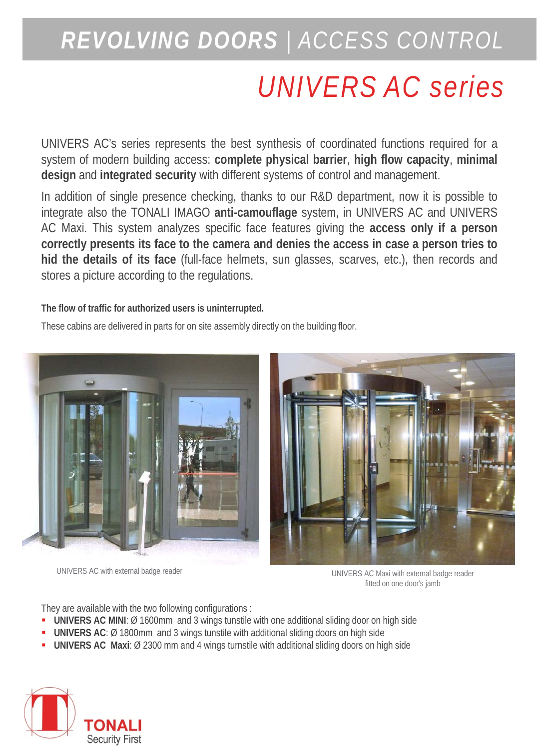## *REVOLVING DOORS | ACCESS CONTROL*

# *UNIVERS AC series*

UNIVERS AC's series represents the best synthesis of coordinated functions required for a system of modern building access: **complete physical barrier**, **high flow capacity**, **minimal design** and **integrated security** with different systems of control and management.

In addition of single presence checking, thanks to our R&D department, now it is possible to integrate also the TONALI IMAGO **anti-camouflage** system, in UNIVERS AC and UNIVERS AC Maxi. This system analyzes specific face features giving the **access only if a person correctly presents its face to the camera and denies the access in case a person tries to hid the details of its face** (full-face helmets, sun glasses, scarves, etc.), then records and stores a picture according to the regulations.

### **The flow of traffic for authorized users is uninterrupted.**

These cabins are delivered in parts for on site assembly directly on the building floor.



UNIVERS AC with external badge reader and the state of the UNIVERS AC Maxi with external badge reader fitted on one door's jamb

They are available with the two following configurations :

- **UNIVERS AC MINI**: Ø 1600mm and 3 wings tunstile with one additional sliding door on high side
- **UNIVERS AC**: Ø 1800mm and 3 wings tunstile with additional sliding doors on high side
- **UNIVERS AC Maxi**: Ø 2300 mm and 4 wings turnstile with additional sliding doors on high side

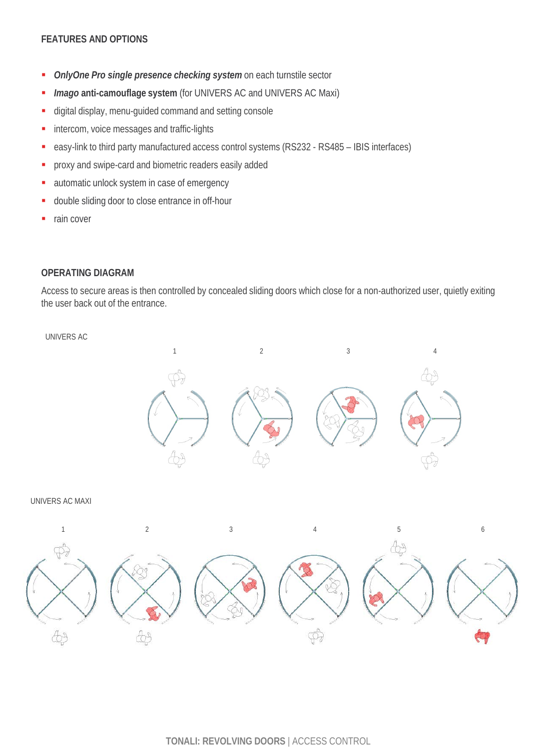#### **FEATURES AND OPTIONS**

- *OnlyOne Pro single presence checking system* on each turnstile sector
- *Imago* **anti-camouflage system** (for UNIVERS AC and UNIVERS AC Maxi)
- digital display, menu-guided command and setting console
- **intercom, voice messages and traffic-lights**
- easy-link to third party manufactured access control systems (RS232 RS485 IBIS interfaces)
- **PEDROXY and swipe-card and biometric readers easily added**
- **automatic unlock system in case of emergency**
- **double sliding door to close entrance in off-hour**
- **rain cover**

#### **OPERATING DIAGRAM**

Access to secure areas is then controlled by concealed sliding doors which close for a non-authorized user, quietly exiting the user back out of the entrance.

UNIVERS AC



UNIVERS AC MAXI

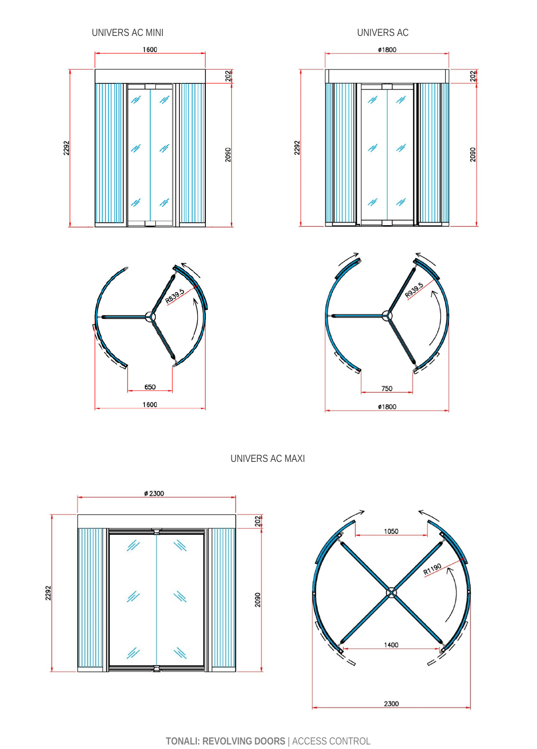







UNIVERS AC MAXI





**TONALI: REVOLVING DOORS** | ACCESS CONTROL